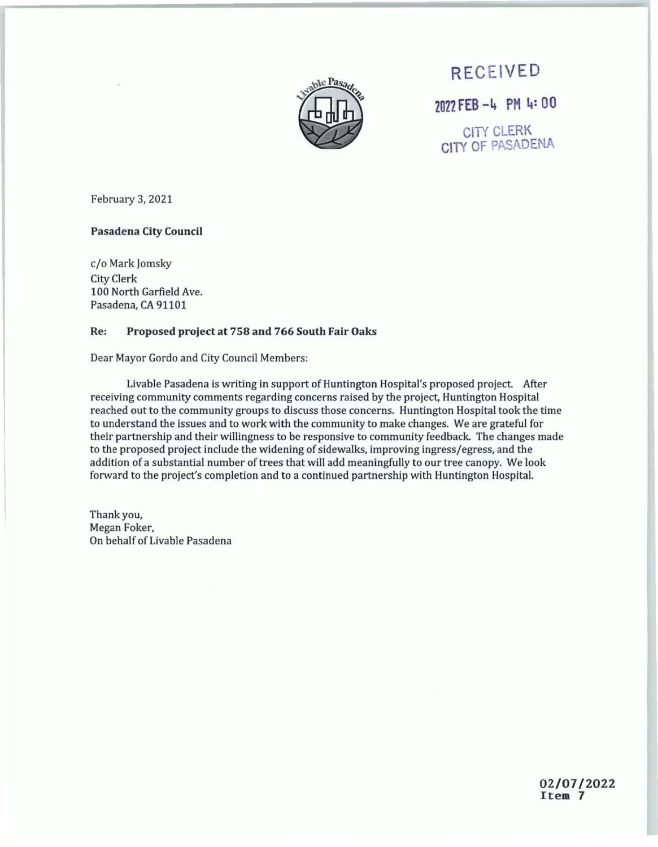

**RECEIVED** <sup>2022</sup>**FEB -l+ PM** 1+: 00

CITY CLERK CITY OF PASADENA

February 3, 2021

### **Pasadena City Council**

c/o Mark Jomsky City Clerk 100 North Garfield Ave. Pasadena, CA 91101

#### **Re: Proposed project at 758 and 766 South Fair Oaks**

Dear Mayor Gordo and City Council Members:

Livable Pasadena is writing in support of Huntington Hospital's proposed project. After receiving community comments regarding concerns raised by the project, Huntington Hospital reached out to the community groups to discuss those concerns. Huntington Hospital took the time to understand the issues and to work with the community to make changes. We are grateful for their partnership and their willingness to be responsive to community feedback. The changes made to the proposed project include the widening of sidewalks, improving ingress/egress, and the addition of a substantial number of trees that will add meaningfully to our tree canopy. We look forward to the project's completion and to a continued partnership with Huntington Hospital.

Thank you, Megan Foker, On behalf of Livable Pasadena

> 02/07/2022 **Item** 7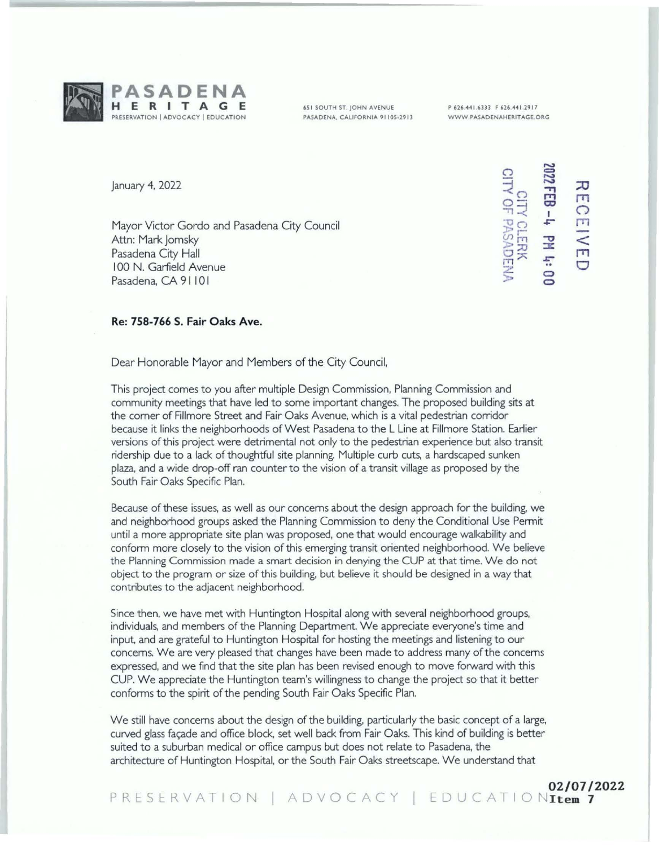

651 SOUTH **ST** JOHN **AVENUE PASADENA, CALIFORNIA 91105-2913**  **P 626.441.6333 F 626.441.2917 WWW PASADENAHERITAGE.ORG** 

January 4, 2022

Mayor Victor Gordo and Pasadena City Council Attn: Mark Jomsky Pasadena City Hall 100 N. Garfield Avenue Pasadena, CA 91101

CITY CLERK<br>CITY OF PASADEN **::0 rn**   $\circ$ rn  $\leq$ **rn 0 0 0** 

### **Re: 758-766 S. Fair Oaks Ave.**

Dear Honorable Mayor and Members of the City Council,

This project comes to you after multiple Design Commission, Planning Commission and community meetings that have led to some important changes. The proposed building sits at the comer of Fillmore Street and Fair Oaks Avenue, which is a vital pedestrian corridor because it links the neighborhoods of West Pasadena to the L Line at Fillmore Station. Earlier versions of this project were detrimental not only to the pedestrian experience but also transit ridership due to a lack of thoughtful site planning. Multiple curb cuts, a hardscaped sunken plaza, and a wide drop-off ran counter to the vision of a transit village as proposed by the South Fair Oaks Specific Plan.

Because of these issues, as well as our concerns about the design approach for the building. we and neighborhood groups asked the Planning Commission to deny the Conditional Use Permit until a more appropriate site plan was proposed, one that would encourage walkability and conform more closely to the vision of this emerging transit oriented neighborhood. We believe the Planning Commission made a smart decision in denying the CUP at that time. We do not object to the program or size of this building, but believe it should be designed in a way that contributes to the adjacent neighborhood.

Since then, we have met with Huntington Hospital along with several neighborhood groups, individuals, and members of the Planning Department. We appreciate everyone's time and input, and are grateful to Huntington Hospital for hosting the meetings and listening to our concerns. We are very pleased that changes have been made to address many of the concerns expressed, and we find that the site plan has been revised enough to move forward with this CUP. We appreciate the Huntington team's willingness to change the project so that it better conforms to the spirit of the pending South Fair Oaks Specific Plan.

We still have concerns about the design of the building, particularly the basic concept of a large, curved glass façade and office block, set well back from Fair Oaks. This kind of building is better suited to a suburban medical or office campus but does not relate to Pasadena, the architecture of Huntington Hospital, or the South Fair Oaks streetscape. We understand that

PRESERVATION | ADVOCACY | EDUCATIONIER 7 **02/07/2022**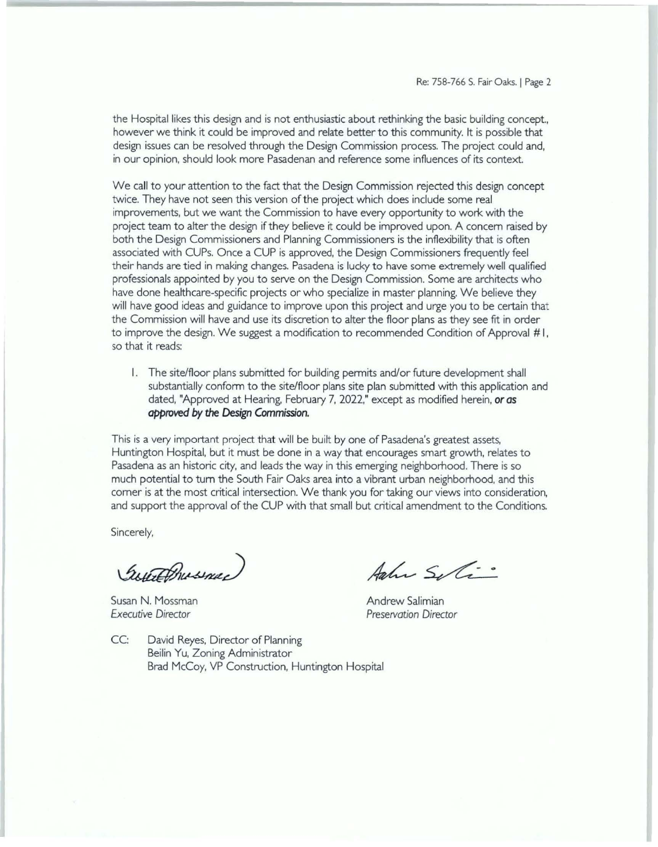the Hospital likes this design and is not enthusiastic about rethinking the basic building concept., however we think it could be improved and relate better to this community. It is possible that design issues can be resolved through the Design Commission process. The project could and, in our opinion, should look more Pasadenan and reference some influences of its context

We call to your attention to the fact that the Design Commission rejected this design concept twice. They have not seen this version of the project which does include some real improvements, but we want the Commission to have every opportunity to work with the project team to alter the design if they believe it could be improved upon. A concern raised by both the Design Commissioners and Planning Commissioners is the inflexibility that is often associated with CUPs. Once a CUP is approved, the Design Commissioners frequently feel their hands are tied in making changes. Pasadena is lucky to have some extremely well qualified professionals appointed by you to serve on the Design Commission. Some are architects who have done healthcare-specific projects or who specialize in master planning. We believe they will have good ideas and guidance to improve upon this project and urge you to be certain that the Commission will have and use its discretion to alter the floor plans as they see frt in order to improve the design. We suggest a modification to recommended Condition of Approval #I, so that it reads:

I. The site/floor plans submitted for building permits and/or future development shall substantially conform to the site/floor plans site plan submitted with this application and dated, "Approved at Hearing, February 7, 2022," except as modified herein, **or** *as approved* **by** *the Design Commission.* 

This is a very important project that will be built by one of Pasadena's greatest assets, Huntington Hospital, but it must be done in a way that encourages smart growth, relates to Pasadena as an historic city, and leads the way in this emerging neighborhood. There is so much potential to tum the South Fair Oaks area into a vibrant urban neighborhood, and this comer is at the most critical intersection. We thank you for taking our views into consideration, and support the approval of the CUP with that small but critical amendment to the Conditions.

Sincerely,

GuteBrusnee

Susan N. Mossman *Executive Director* 

Agher Seli

Andrew Salimian **Preservation Director** 

CC: David Reyes, Director of Planning Beilin Yu, Zoning Administrator Brad McCoy, VP Construction, Huntington Hospital